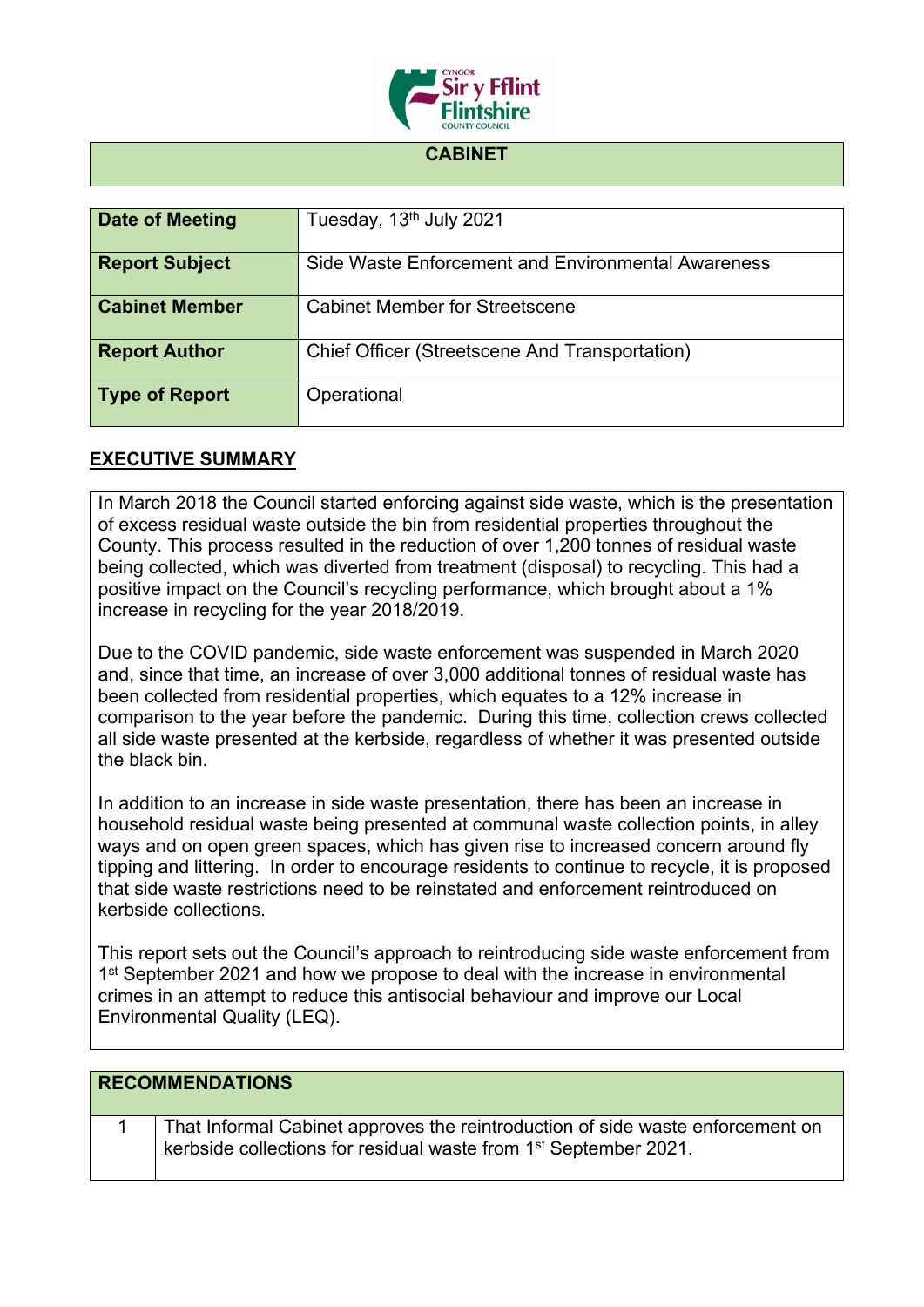

## **CABINET**

| Date of Meeting       | Tuesday, 13 <sup>th</sup> July 2021                |
|-----------------------|----------------------------------------------------|
| <b>Report Subject</b> | Side Waste Enforcement and Environmental Awareness |
| <b>Cabinet Member</b> | <b>Cabinet Member for Streetscene</b>              |
| <b>Report Author</b>  | Chief Officer (Streetscene And Transportation)     |
| <b>Type of Report</b> | Operational                                        |

## **EXECUTIVE SUMMARY**

In March 2018 the Council started enforcing against side waste, which is the presentation of excess residual waste outside the bin from residential properties throughout the County. This process resulted in the reduction of over 1,200 tonnes of residual waste being collected, which was diverted from treatment (disposal) to recycling. This had a positive impact on the Council's recycling performance, which brought about a 1% increase in recycling for the year 2018/2019.

Due to the COVID pandemic, side waste enforcement was suspended in March 2020 and, since that time, an increase of over 3,000 additional tonnes of residual waste has been collected from residential properties, which equates to a 12% increase in comparison to the year before the pandemic. During this time, collection crews collected all side waste presented at the kerbside, regardless of whether it was presented outside the black bin.

In addition to an increase in side waste presentation, there has been an increase in household residual waste being presented at communal waste collection points, in alley ways and on open green spaces, which has given rise to increased concern around fly tipping and littering. In order to encourage residents to continue to recycle, it is proposed that side waste restrictions need to be reinstated and enforcement reintroduced on kerbside collections.

This report sets out the Council's approach to reintroducing side waste enforcement from 1<sup>st</sup> September 2021 and how we propose to deal with the increase in environmental crimes in an attempt to reduce this antisocial behaviour and improve our Local Environmental Quality (LEQ).

| <b>RECOMMENDATIONS</b>                                                                                                                                         |
|----------------------------------------------------------------------------------------------------------------------------------------------------------------|
| That Informal Cabinet approves the reintroduction of side waste enforcement on<br>kerbside collections for residual waste from 1 <sup>st</sup> September 2021. |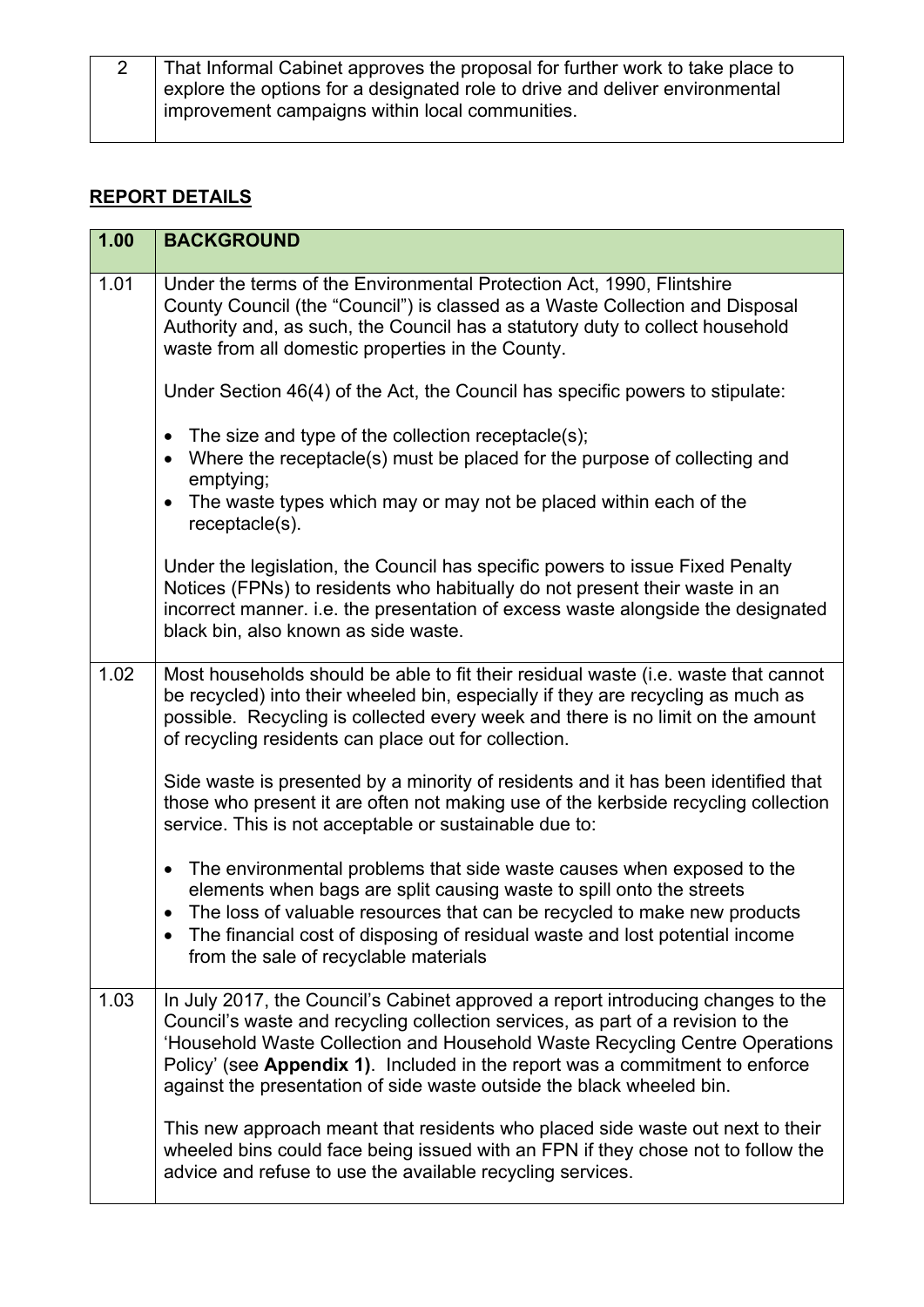| That Informal Cabinet approves the proposal for further work to take place to |
|-------------------------------------------------------------------------------|
| explore the options for a designated role to drive and deliver environmental  |
| improvement campaigns within local communities.                               |

## **REPORT DETAILS**

| 1.00 | <b>BACKGROUND</b>                                                                                                                                                                                                                                                                                                                                                                                           |
|------|-------------------------------------------------------------------------------------------------------------------------------------------------------------------------------------------------------------------------------------------------------------------------------------------------------------------------------------------------------------------------------------------------------------|
| 1.01 | Under the terms of the Environmental Protection Act, 1990, Flintshire<br>County Council (the "Council") is classed as a Waste Collection and Disposal<br>Authority and, as such, the Council has a statutory duty to collect household<br>waste from all domestic properties in the County.                                                                                                                 |
|      | Under Section 46(4) of the Act, the Council has specific powers to stipulate:                                                                                                                                                                                                                                                                                                                               |
|      | • The size and type of the collection receptacle(s);<br>Where the receptacle(s) must be placed for the purpose of collecting and<br>$\bullet$<br>emptying;                                                                                                                                                                                                                                                  |
|      | The waste types which may or may not be placed within each of the<br>$\bullet$<br>receptacle(s).                                                                                                                                                                                                                                                                                                            |
|      | Under the legislation, the Council has specific powers to issue Fixed Penalty<br>Notices (FPNs) to residents who habitually do not present their waste in an<br>incorrect manner. i.e. the presentation of excess waste alongside the designated<br>black bin, also known as side waste.                                                                                                                    |
| 1.02 | Most households should be able to fit their residual waste (i.e. waste that cannot<br>be recycled) into their wheeled bin, especially if they are recycling as much as<br>possible. Recycling is collected every week and there is no limit on the amount<br>of recycling residents can place out for collection.                                                                                           |
|      | Side waste is presented by a minority of residents and it has been identified that<br>those who present it are often not making use of the kerbside recycling collection<br>service. This is not acceptable or sustainable due to:                                                                                                                                                                          |
|      | The environmental problems that side waste causes when exposed to the<br>$\bullet$<br>elements when bags are split causing waste to spill onto the streets<br>The loss of valuable resources that can be recycled to make new products<br>The financial cost of disposing of residual waste and lost potential income<br>$\bullet$<br>from the sale of recyclable materials                                 |
| 1.03 | In July 2017, the Council's Cabinet approved a report introducing changes to the<br>Council's waste and recycling collection services, as part of a revision to the<br>'Household Waste Collection and Household Waste Recycling Centre Operations<br>Policy' (see Appendix 1). Included in the report was a commitment to enforce<br>against the presentation of side waste outside the black wheeled bin. |
|      | This new approach meant that residents who placed side waste out next to their<br>wheeled bins could face being issued with an FPN if they chose not to follow the<br>advice and refuse to use the available recycling services.                                                                                                                                                                            |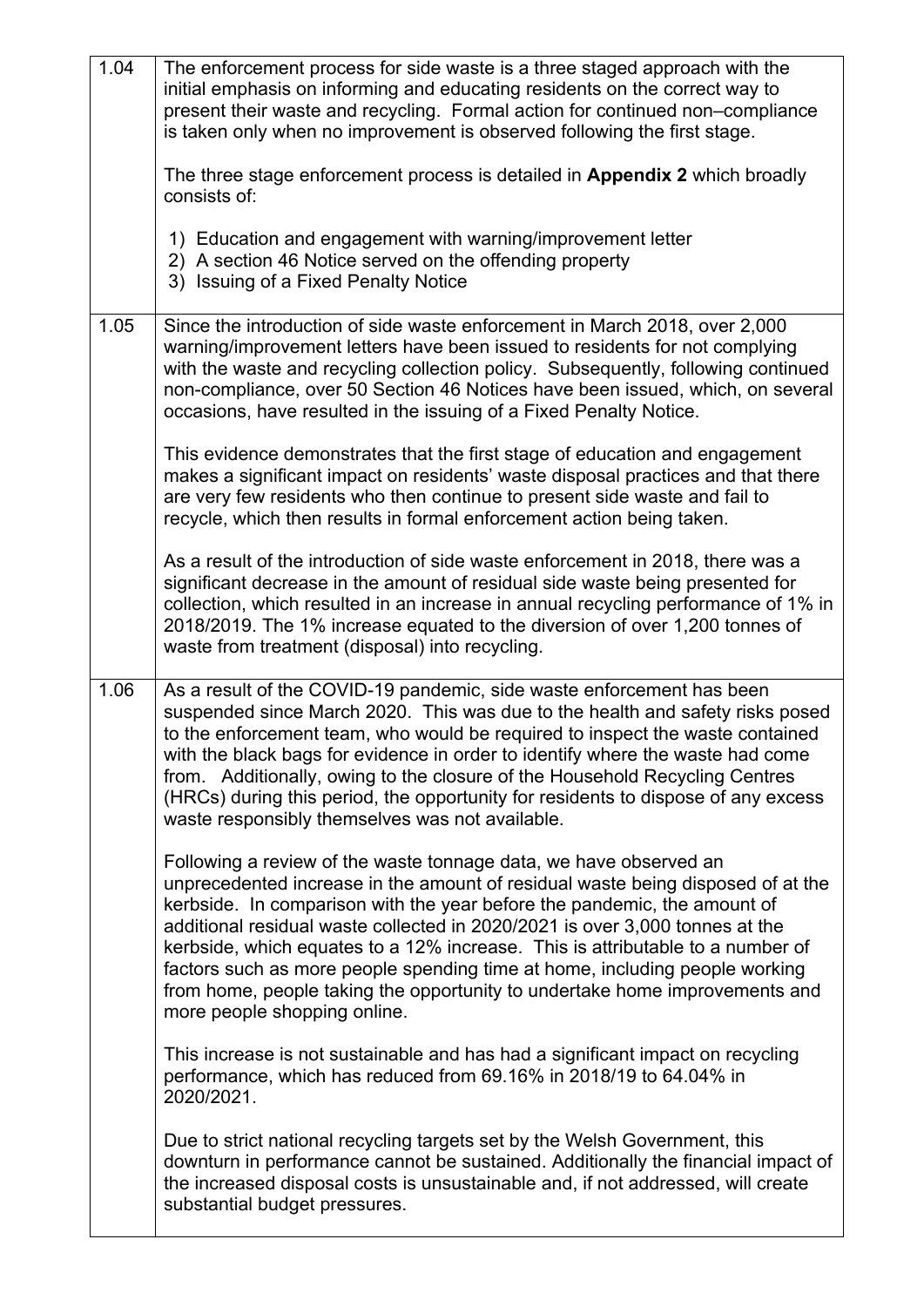| 1.04 | The enforcement process for side waste is a three staged approach with the<br>initial emphasis on informing and educating residents on the correct way to<br>present their waste and recycling. Formal action for continued non-compliance<br>is taken only when no improvement is observed following the first stage.<br>The three stage enforcement process is detailed in Appendix 2 which broadly<br>consists of:                                                                                                                                                                            |
|------|--------------------------------------------------------------------------------------------------------------------------------------------------------------------------------------------------------------------------------------------------------------------------------------------------------------------------------------------------------------------------------------------------------------------------------------------------------------------------------------------------------------------------------------------------------------------------------------------------|
|      | 1) Education and engagement with warning/improvement letter<br>2) A section 46 Notice served on the offending property<br>3) Issuing of a Fixed Penalty Notice                                                                                                                                                                                                                                                                                                                                                                                                                                   |
| 1.05 | Since the introduction of side waste enforcement in March 2018, over 2,000<br>warning/improvement letters have been issued to residents for not complying<br>with the waste and recycling collection policy. Subsequently, following continued<br>non-compliance, over 50 Section 46 Notices have been issued, which, on several<br>occasions, have resulted in the issuing of a Fixed Penalty Notice.                                                                                                                                                                                           |
|      | This evidence demonstrates that the first stage of education and engagement<br>makes a significant impact on residents' waste disposal practices and that there<br>are very few residents who then continue to present side waste and fail to<br>recycle, which then results in formal enforcement action being taken.                                                                                                                                                                                                                                                                           |
|      | As a result of the introduction of side waste enforcement in 2018, there was a<br>significant decrease in the amount of residual side waste being presented for<br>collection, which resulted in an increase in annual recycling performance of 1% in<br>2018/2019. The 1% increase equated to the diversion of over 1,200 tonnes of<br>waste from treatment (disposal) into recycling.                                                                                                                                                                                                          |
| 1.06 | As a result of the COVID-19 pandemic, side waste enforcement has been<br>suspended since March 2020. This was due to the health and safety risks posed<br>to the enforcement team, who would be required to inspect the waste contained<br>with the black bags for evidence in order to identify where the waste had come<br>from. Additionally, owing to the closure of the Household Recycling Centres<br>(HRCs) during this period, the opportunity for residents to dispose of any excess<br>waste responsibly themselves was not available.                                                 |
|      | Following a review of the waste tonnage data, we have observed an<br>unprecedented increase in the amount of residual waste being disposed of at the<br>kerbside. In comparison with the year before the pandemic, the amount of<br>additional residual waste collected in 2020/2021 is over 3,000 tonnes at the<br>kerbside, which equates to a 12% increase. This is attributable to a number of<br>factors such as more people spending time at home, including people working<br>from home, people taking the opportunity to undertake home improvements and<br>more people shopping online. |
|      | This increase is not sustainable and has had a significant impact on recycling<br>performance, which has reduced from 69.16% in 2018/19 to 64.04% in<br>2020/2021.                                                                                                                                                                                                                                                                                                                                                                                                                               |
|      | Due to strict national recycling targets set by the Welsh Government, this<br>downturn in performance cannot be sustained. Additionally the financial impact of<br>the increased disposal costs is unsustainable and, if not addressed, will create<br>substantial budget pressures.                                                                                                                                                                                                                                                                                                             |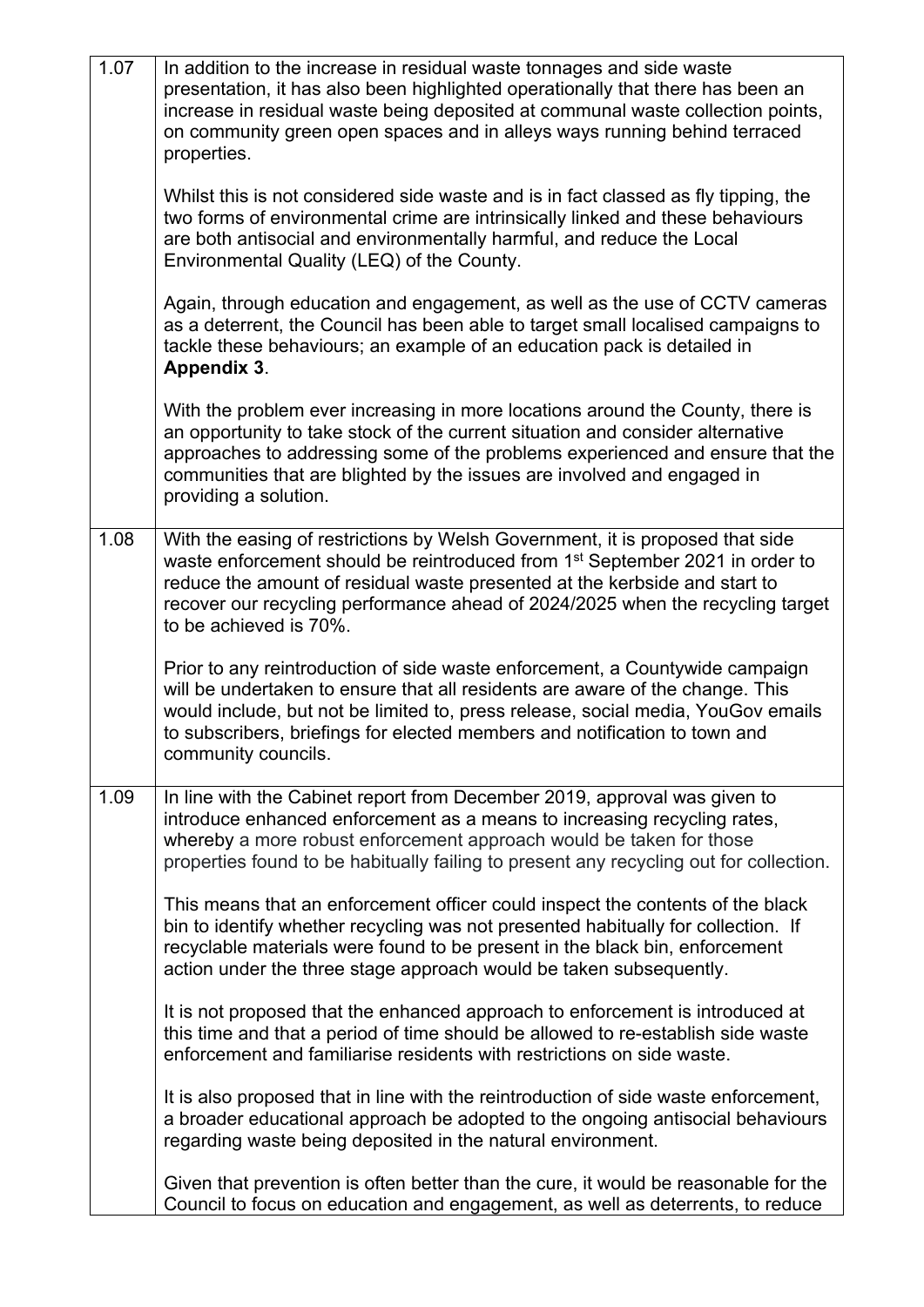| 1.07 | In addition to the increase in residual waste tonnages and side waste<br>presentation, it has also been highlighted operationally that there has been an<br>increase in residual waste being deposited at communal waste collection points,<br>on community green open spaces and in alleys ways running behind terraced<br>properties.                             |
|------|---------------------------------------------------------------------------------------------------------------------------------------------------------------------------------------------------------------------------------------------------------------------------------------------------------------------------------------------------------------------|
|      | Whilst this is not considered side waste and is in fact classed as fly tipping, the<br>two forms of environmental crime are intrinsically linked and these behaviours<br>are both antisocial and environmentally harmful, and reduce the Local<br>Environmental Quality (LEQ) of the County.                                                                        |
|      | Again, through education and engagement, as well as the use of CCTV cameras<br>as a deterrent, the Council has been able to target small localised campaigns to<br>tackle these behaviours; an example of an education pack is detailed in<br>Appendix 3.                                                                                                           |
|      | With the problem ever increasing in more locations around the County, there is<br>an opportunity to take stock of the current situation and consider alternative<br>approaches to addressing some of the problems experienced and ensure that the<br>communities that are blighted by the issues are involved and engaged in<br>providing a solution.               |
| 1.08 | With the easing of restrictions by Welsh Government, it is proposed that side<br>waste enforcement should be reintroduced from 1 <sup>st</sup> September 2021 in order to<br>reduce the amount of residual waste presented at the kerbside and start to<br>recover our recycling performance ahead of 2024/2025 when the recycling target<br>to be achieved is 70%. |
|      | Prior to any reintroduction of side waste enforcement, a Countywide campaign<br>will be undertaken to ensure that all residents are aware of the change. This<br>would include, but not be limited to, press release, social media, YouGov emails<br>to subscribers, briefings for elected members and notification to town and<br>community councils.              |
| 1.09 | In line with the Cabinet report from December 2019, approval was given to<br>introduce enhanced enforcement as a means to increasing recycling rates,<br>whereby a more robust enforcement approach would be taken for those<br>properties found to be habitually failing to present any recycling out for collection.                                              |
|      | This means that an enforcement officer could inspect the contents of the black<br>bin to identify whether recycling was not presented habitually for collection. If<br>recyclable materials were found to be present in the black bin, enforcement<br>action under the three stage approach would be taken subsequently.                                            |
|      | It is not proposed that the enhanced approach to enforcement is introduced at<br>this time and that a period of time should be allowed to re-establish side waste<br>enforcement and familiarise residents with restrictions on side waste.                                                                                                                         |
|      | It is also proposed that in line with the reintroduction of side waste enforcement,<br>a broader educational approach be adopted to the ongoing antisocial behaviours<br>regarding waste being deposited in the natural environment.                                                                                                                                |
|      | Given that prevention is often better than the cure, it would be reasonable for the<br>Council to focus on education and engagement, as well as deterrents, to reduce                                                                                                                                                                                               |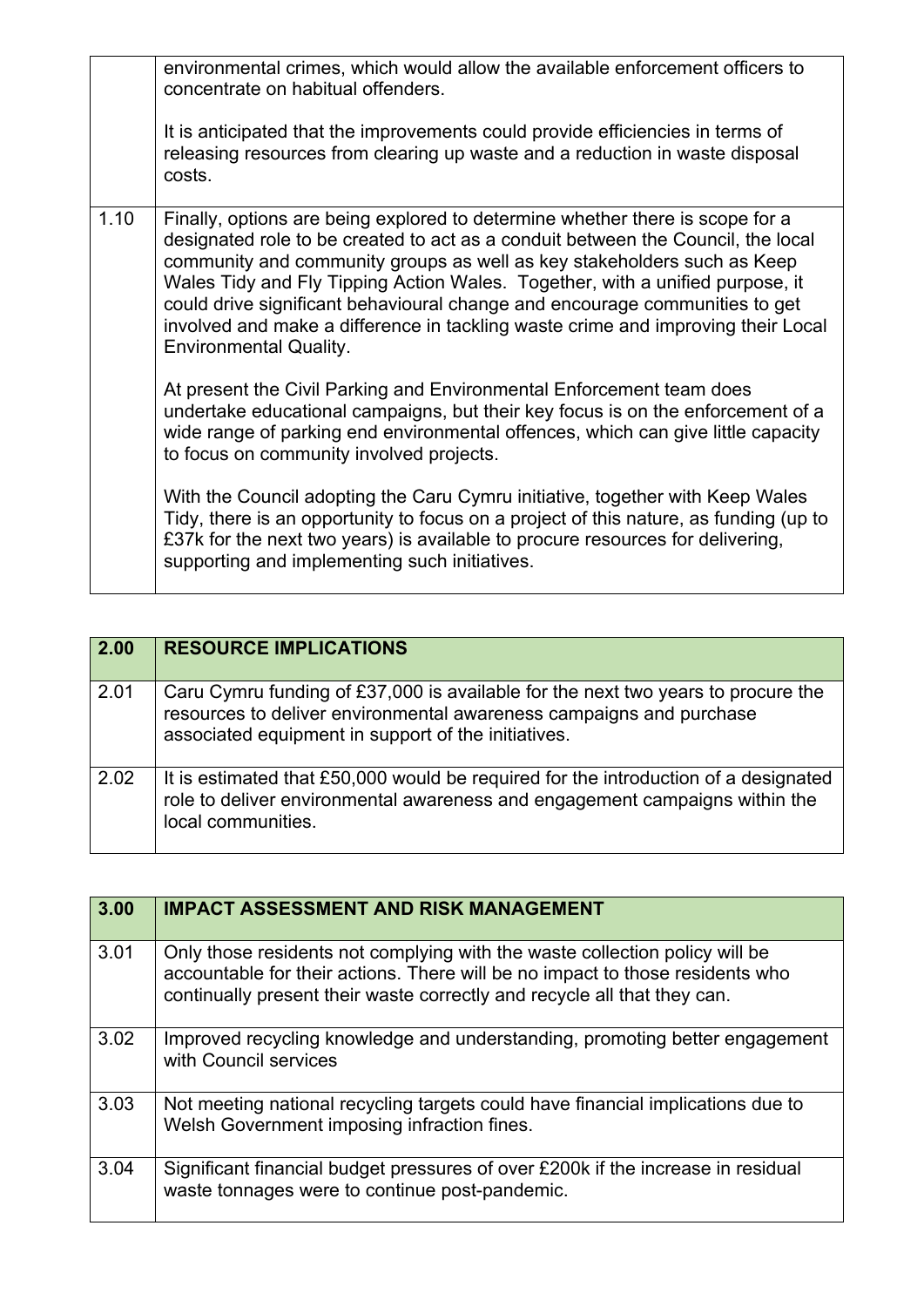|      | environmental crimes, which would allow the available enforcement officers to<br>concentrate on habitual offenders.<br>It is anticipated that the improvements could provide efficiencies in terms of<br>releasing resources from clearing up waste and a reduction in waste disposal<br>costs.                                                                                                                                                                                                                                   |
|------|-----------------------------------------------------------------------------------------------------------------------------------------------------------------------------------------------------------------------------------------------------------------------------------------------------------------------------------------------------------------------------------------------------------------------------------------------------------------------------------------------------------------------------------|
| 1.10 | Finally, options are being explored to determine whether there is scope for a<br>designated role to be created to act as a conduit between the Council, the local<br>community and community groups as well as key stakeholders such as Keep<br>Wales Tidy and Fly Tipping Action Wales. Together, with a unified purpose, it<br>could drive significant behavioural change and encourage communities to get<br>involved and make a difference in tackling waste crime and improving their Local<br><b>Environmental Quality.</b> |
|      | At present the Civil Parking and Environmental Enforcement team does<br>undertake educational campaigns, but their key focus is on the enforcement of a<br>wide range of parking end environmental offences, which can give little capacity<br>to focus on community involved projects.                                                                                                                                                                                                                                           |
|      | With the Council adopting the Caru Cymru initiative, together with Keep Wales<br>Tidy, there is an opportunity to focus on a project of this nature, as funding (up to<br>£37k for the next two years) is available to procure resources for delivering,<br>supporting and implementing such initiatives.                                                                                                                                                                                                                         |

| 2.00 | <b>RESOURCE IMPLICATIONS</b>                                                                                                                                                                                   |
|------|----------------------------------------------------------------------------------------------------------------------------------------------------------------------------------------------------------------|
| 2.01 | Caru Cymru funding of £37,000 is available for the next two years to procure the<br>resources to deliver environmental awareness campaigns and purchase<br>associated equipment in support of the initiatives. |
| 2.02 | It is estimated that £50,000 would be required for the introduction of a designated<br>role to deliver environmental awareness and engagement campaigns within the<br>local communities.                       |

| 3.00 | <b>IMPACT ASSESSMENT AND RISK MANAGEMENT</b>                                                                                                                                                                                             |
|------|------------------------------------------------------------------------------------------------------------------------------------------------------------------------------------------------------------------------------------------|
| 3.01 | Only those residents not complying with the waste collection policy will be<br>accountable for their actions. There will be no impact to those residents who<br>continually present their waste correctly and recycle all that they can. |
| 3.02 | Improved recycling knowledge and understanding, promoting better engagement<br>with Council services                                                                                                                                     |
| 3.03 | Not meeting national recycling targets could have financial implications due to<br>Welsh Government imposing infraction fines.                                                                                                           |
| 3.04 | Significant financial budget pressures of over £200k if the increase in residual<br>waste tonnages were to continue post-pandemic.                                                                                                       |